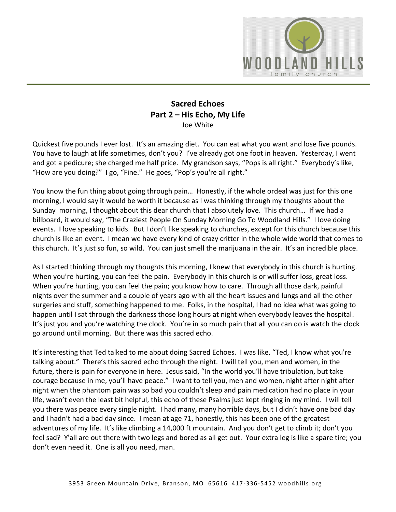

## **Sacred Echoes Part 2 – His Echo, My Life** Joe White

Quickest five pounds I ever lost. It's an amazing diet. You can eat what you want and lose five pounds. You have to laugh at life sometimes, don't you? I've already got one foot in heaven. Yesterday, I went and got a pedicure; she charged me half price. My grandson says, "Pops is all right." Everybody's like, "How are you doing?" I go, "Fine." He goes, "Pop's you're all right."

You know the fun thing about going through pain… Honestly, if the whole ordeal was just for this one morning, I would say it would be worth it because as I was thinking through my thoughts about the Sunday morning, I thought about this dear church that I absolutely love. This church… If we had a billboard, it would say, "The Craziest People On Sunday Morning Go To Woodland Hills." I love doing events. I love speaking to kids. But I don't like speaking to churches, except for this church because this church is like an event. I mean we have every kind of crazy critter in the whole wide world that comes to this church. It's just so fun, so wild. You can just smell the marijuana in the air. It's an incredible place.

As I started thinking through my thoughts this morning, I knew that everybody in this church is hurting. When you're hurting, you can feel the pain. Everybody in this church is or will suffer loss, great loss. When you're hurting, you can feel the pain; you know how to care. Through all those dark, painful nights over the summer and a couple of years ago with all the heart issues and lungs and all the other surgeries and stuff, something happened to me. Folks, in the hospital, I had no idea what was going to happen until I sat through the darkness those long hours at night when everybody leaves the hospital. It's just you and you're watching the clock. You're in so much pain that all you can do is watch the clock go around until morning. But there was this sacred echo.

It's interesting that Ted talked to me about doing Sacred Echoes. I was like, "Ted, I know what you're talking about." There's this sacred echo through the night. I will tell you, men and women, in the future, there is pain for everyone in here. Jesus said, "In the world you'll have tribulation, but take courage because in me, you'll have peace." I want to tell you, men and women, night after night after night when the phantom pain was so bad you couldn't sleep and pain medication had no place in your life, wasn't even the least bit helpful, this echo of these Psalms just kept ringing in my mind. I will tell you there was peace every single night. I had many, many horrible days, but I didn't have one bad day and I hadn't had a bad day since. I mean at age 71, honestly, this has been one of the greatest adventures of my life. It's like climbing a 14,000 ft mountain. And you don't get to climb it; don't you feel sad? Y'all are out there with two legs and bored as all get out. Your extra leg is like a spare tire; you don't even need it. One is all you need, man.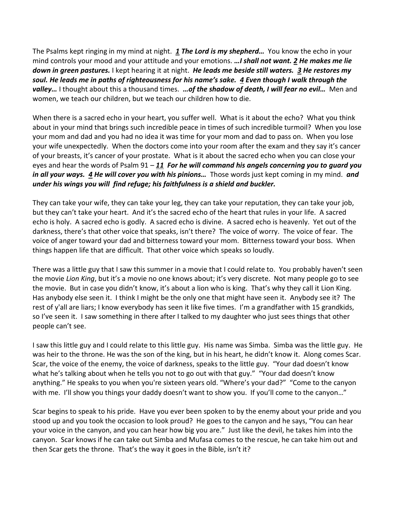The Psalms kept ringing in my mind at night. *[1](https://www.studylight.org/desk/?q=ps%2023:1&t1=en_esv&sr=1) The Lord is my shepherd…* You know the echo in your mind controls your mood and your attitude and your emotions. *…I shall not want. [2](https://www.studylight.org/desk/?q=ps%2023:2&t1=en_esv&sr=1) He makes me lie down in green pastures.* I kept hearing it at night. *He leads me beside still waters. [3](https://www.studylight.org/desk/?q=ps%2023:3&t1=en_esv&sr=1) He restores my soul. He leads me in paths of righteousness for his name's sake. [4](https://www.studylight.org/desk/?q=ps%2023:4&t1=en_esv&sr=1) Even though I walk through the valley…* I thought about this a thousand times. *…of the shadow of death, I will fear no evil…* Men and women, we teach our children, but we teach our children how to die.

When there is a sacred echo in your heart, you suffer well. What is it about the echo? What you think about in your mind that brings such incredible peace in times of such incredible turmoil? When you lose your mom and dad and you had no idea it was time for your mom and dad to pass on. When you lose your wife unexpectedly. When the doctors come into your room after the exam and they say it's cancer of your breasts, it's cancer of your prostate. What is it about the sacred echo when you can close your eyes and hear the words of Psalm 91 – *[11](https://www.studylight.org/desk/?q=ps%2091:11&t1=en_esv&sr=1) For he will command his angels concerning you to guard you in all your ways. [4](https://www.studylight.org/desk/?q=ps%2091:4&t1=en_esv&sr=1) He will cover you with his pinions…* Those words just kept coming in my mind. *and under his wings you will find refuge; his faithfulness is a shield and buckler.*

They can take your wife, they can take your leg, they can take your reputation, they can take your job, but they can't take your heart. And it's the sacred echo of the heart that rules in your life. A sacred echo is holy. A sacred echo is godly. A sacred echo is divine. A sacred echo is heavenly. Yet out of the darkness, there's that other voice that speaks, isn't there? The voice of worry. The voice of fear. The voice of anger toward your dad and bitterness toward your mom. Bitterness toward your boss. When things happen life that are difficult. That other voice which speaks so loudly.

There was a little guy that I saw this summer in a movie that I could relate to. You probably haven't seen the movie *Lion King*, but it's a movie no one knows about; it's very discrete. Not many people go to see the movie. But in case you didn't know, it's about a lion who is king. That's why they call it Lion King. Has anybody else seen it. I think I might be the only one that might have seen it. Anybody see it? The rest of y'all are liars; I know everybody has seen it like five times. I'm a grandfather with 15 grandkids, so I've seen it. I saw something in there after I talked to my daughter who just sees things that other people can't see.

I saw this little guy and I could relate to this little guy. His name was Simba. Simba was the little guy. He was heir to the throne. He was the son of the king, but in his heart, he didn't know it. Along comes Scar. Scar, the voice of the enemy, the voice of darkness, speaks to the little guy. "Your dad doesn't know what he's talking about when he tells you not to go out with that guy." "Your dad doesn't know anything." He speaks to you when you're sixteen years old. "Where's your dad?" "Come to the canyon with me. I'll show you things your daddy doesn't want to show you. If you'll come to the canyon..."

Scar begins to speak to his pride. Have you ever been spoken to by the enemy about your pride and you stood up and you took the occasion to look proud? He goes to the canyon and he says, "You can hear your voice in the canyon, and you can hear how big you are." Just like the devil, he takes him into the canyon. Scar knows if he can take out Simba and Mufasa comes to the rescue, he can take him out and then Scar gets the throne. That's the way it goes in the Bible, isn't it?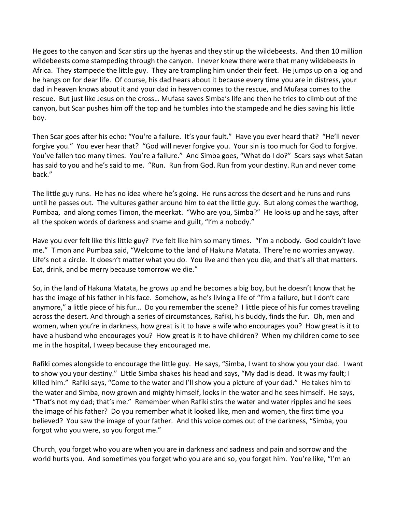He goes to the canyon and Scar stirs up the hyenas and they stir up the wildebeests. And then 10 million wildebeests come stampeding through the canyon. I never knew there were that many wildebeests in Africa. They stampede the little guy. They are trampling him under their feet. He jumps up on a log and he hangs on for dear life. Of course, his dad hears about it because every time you are in distress, your dad in heaven knows about it and your dad in heaven comes to the rescue, and Mufasa comes to the rescue. But just like Jesus on the cross… Mufasa saves Simba's life and then he tries to climb out of the canyon, but Scar pushes him off the top and he tumbles into the stampede and he dies saving his little boy.

Then Scar goes after his echo: "You're a failure. It's your fault." Have you ever heard that? "He'll never forgive you." You ever hear that? "God will never forgive you. Your sin is too much for God to forgive. You've fallen too many times. You're a failure." And Simba goes, "What do I do?" Scars says what Satan has said to you and he's said to me. "Run. Run from God. Run from your destiny. Run and never come back."

The little guy runs. He has no idea where he's going. He runs across the desert and he runs and runs until he passes out. The vultures gather around him to eat the little guy. But along comes the warthog, Pumbaa, and along comes Timon, the meerkat. "Who are you, Simba?" He looks up and he says, after all the spoken words of darkness and shame and guilt, "I'm a nobody."

Have you ever felt like this little guy? I've felt like him so many times. "I'm a nobody. God couldn't love me." Timon and Pumbaa said, "Welcome to the land of Hakuna Matata. There're no worries anyway. Life's not a circle. It doesn't matter what you do. You live and then you die, and that's all that matters. Eat, drink, and be merry because tomorrow we die."

So, in the land of Hakuna Matata, he grows up and he becomes a big boy, but he doesn't know that he has the image of his father in his face. Somehow, as he's living a life of "I'm a failure, but I don't care anymore," a little piece of his fur… Do you remember the scene? I little piece of his fur comes traveling across the desert. And through a series of circumstances, Rafiki, his buddy, finds the fur. Oh, men and women, when you're in darkness, how great is it to have a wife who encourages you? How great is it to have a husband who encourages you? How great is it to have children? When my children come to see me in the hospital, I weep because they encouraged me.

Rafiki comes alongside to encourage the little guy. He says, "Simba, I want to show you your dad. I want to show you your destiny." Little Simba shakes his head and says, "My dad is dead. It was my fault; I killed him." Rafiki says, "Come to the water and I'll show you a picture of your dad." He takes him to the water and Simba, now grown and mighty himself, looks in the water and he sees himself. He says, "That's not my dad; that's me." Remember when Rafiki stirs the water and water ripples and he sees the image of his father? Do you remember what it looked like, men and women, the first time you believed? You saw the image of your father. And this voice comes out of the darkness, "Simba, you forgot who you were, so you forgot me."

Church, you forget who you are when you are in darkness and sadness and pain and sorrow and the world hurts you. And sometimes you forget who you are and so, you forget him. You're like, "I'm an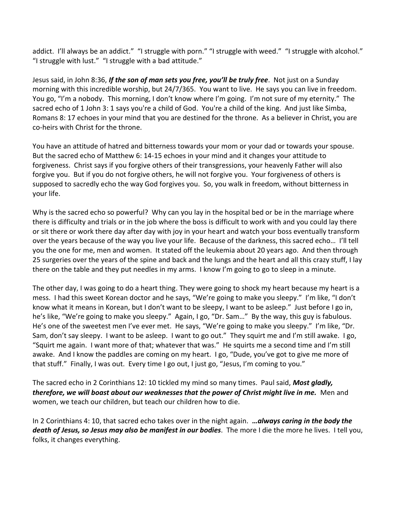addict. I'll always be an addict." "I struggle with porn." "I struggle with weed." "I struggle with alcohol." "I struggle with lust." "I struggle with a bad attitude."

Jesus said, in John 8:36, *If the son of man sets you free, you'll be truly free*. Not just on a Sunday morning with this incredible worship, but 24/7/365. You want to live. He says you can live in freedom. You go, "I'm a nobody. This morning, I don't know where I'm going. I'm not sure of my eternity." The sacred echo of 1 John 3: 1 says you're a child of God. You're a child of the king. And just like Simba, Romans 8: 17 echoes in your mind that you are destined for the throne. As a believer in Christ, you are co-heirs with Christ for the throne.

You have an attitude of hatred and bitterness towards your mom or your dad or towards your spouse. But the sacred echo of Matthew 6: 14-15 echoes in your mind and it changes your attitude to forgiveness. Christ says if you forgive others of their transgressions, your heavenly Father will also forgive you. But if you do not forgive others, he will not forgive you. Your forgiveness of others is supposed to sacredly echo the way God forgives you. So, you walk in freedom, without bitterness in your life.

Why is the sacred echo so powerful? Why can you lay in the hospital bed or be in the marriage where there is difficulty and trials or in the job where the boss is difficult to work with and you could lay there or sit there or work there day after day with joy in your heart and watch your boss eventually transform over the years because of the way you live your life. Because of the darkness, this sacred echo… I'll tell you the one for me, men and women. It stated off the leukemia about 20 years ago. And then through 25 surgeries over the years of the spine and back and the lungs and the heart and all this crazy stuff, I lay there on the table and they put needles in my arms. I know I'm going to go to sleep in a minute.

The other day, I was going to do a heart thing. They were going to shock my heart because my heart is a mess. I had this sweet Korean doctor and he says, "We're going to make you sleepy." I'm like, "I don't know what it means in Korean, but I don't want to be sleepy, I want to be asleep." Just before I go in, he's like, "We're going to make you sleepy." Again, I go, "Dr. Sam…" By the way, this guy is fabulous. He's one of the sweetest men I've ever met. He says, "We're going to make you sleepy." I'm like, "Dr. Sam, don't say sleepy. I want to be asleep. I want to go out." They squirt me and I'm still awake. I go, "Squirt me again. I want more of that; whatever that was." He squirts me a second time and I'm still awake. And I know the paddles are coming on my heart. I go, "Dude, you've got to give me more of that stuff." Finally, I was out. Every time I go out, I just go, "Jesus, I'm coming to you."

The sacred echo in 2 Corinthians 12: 10 tickled my mind so many times. Paul said, *Most gladly, therefore, we will boast about our weaknesses that the power of Christ might live in me.* Men and women, we teach our children, but teach our children how to die.

In 2 Corinthians 4: 10, that sacred echo takes over in the night again. *…always caring in the body the death of Jesus, so Jesus may also be manifest in our bodies*. The more I die the more he lives. I tell you, folks, it changes everything.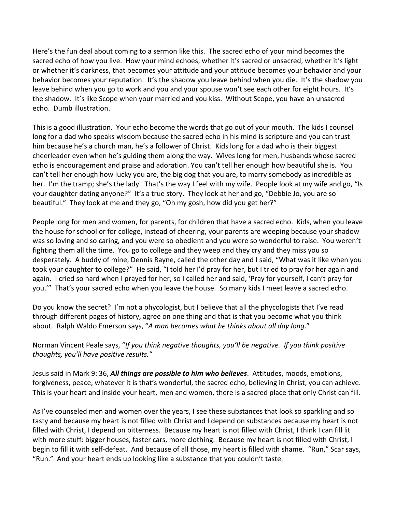Here's the fun deal about coming to a sermon like this. The sacred echo of your mind becomes the sacred echo of how you live. How your mind echoes, whether it's sacred or unsacred, whether it's light or whether it's darkness, that becomes your attitude and your attitude becomes your behavior and your behavior becomes your reputation. It's the shadow you leave behind when you die. It's the shadow you leave behind when you go to work and you and your spouse won't see each other for eight hours. It's the shadow. It's like Scope when your married and you kiss. Without Scope, you have an unsacred echo. Dumb illustration.

This is a good illustration. Your echo become the words that go out of your mouth. The kids I counsel long for a dad who speaks wisdom because the sacred echo in his mind is scripture and you can trust him because he's a church man, he's a follower of Christ. Kids long for a dad who is their biggest cheerleader even when he's guiding them along the way. Wives long for men, husbands whose sacred echo is encouragement and praise and adoration. You can't tell her enough how beautiful she is. You can't tell her enough how lucky you are, the big dog that you are, to marry somebody as incredible as her. I'm the tramp; she's the lady. That's the way I feel with my wife. People look at my wife and go, "Is your daughter dating anyone?" It's a true story. They look at her and go, "Debbie Jo, you are so beautiful." They look at me and they go, "Oh my gosh, how did you get her?"

People long for men and women, for parents, for children that have a sacred echo. Kids, when you leave the house for school or for college, instead of cheering, your parents are weeping because your shadow was so loving and so caring, and you were so obedient and you were so wonderful to raise. You weren't fighting them all the time. You go to college and they weep and they cry and they miss you so desperately. A buddy of mine, Dennis Rayne, called the other day and I said, "What was it like when you took your daughter to college?" He said, "I told her I'd pray for her, but I tried to pray for her again and again. I cried so hard when I prayed for her, so I called her and said, 'Pray for yourself, I can't pray for you.'" That's your sacred echo when you leave the house. So many kids I meet leave a sacred echo.

Do you know the secret? I'm not a phycologist, but I believe that all the phycologists that I've read through different pages of history, agree on one thing and that is that you become what you think about. Ralph Waldo Emerson says, "*A man becomes what he thinks about all day long*."

Norman Vincent Peale says, "*If you think negative thoughts, you'll be negative. If you think positive thoughts, you'll have positive results."*

Jesus said in Mark 9: 36, *All things are possible to him who believes*. Attitudes, moods, emotions, forgiveness, peace, whatever it is that's wonderful, the sacred echo, believing in Christ, you can achieve. This is your heart and inside your heart, men and women, there is a sacred place that only Christ can fill.

As I've counseled men and women over the years, I see these substances that look so sparkling and so tasty and because my heart is not filled with Christ and I depend on substances because my heart is not filled with Christ, I depend on bitterness. Because my heart is not filled with Christ, I think I can fill lit with more stuff: bigger houses, faster cars, more clothing. Because my heart is not filled with Christ, I begin to fill it with self-defeat. And because of all those, my heart is filled with shame. "Run," Scar says, "Run." And your heart ends up looking like a substance that you couldn't taste.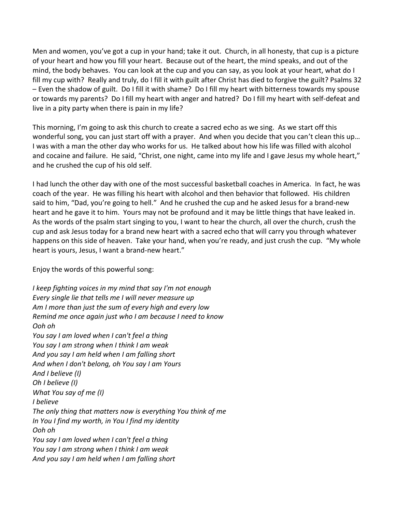Men and women, you've got a cup in your hand; take it out. Church, in all honesty, that cup is a picture of your heart and how you fill your heart. Because out of the heart, the mind speaks, and out of the mind, the body behaves. You can look at the cup and you can say, as you look at your heart, what do I fill my cup with? Really and truly, do I fill it with guilt after Christ has died to forgive the guilt? Psalms 32 – Even the shadow of guilt. Do I fill it with shame? Do I fill my heart with bitterness towards my spouse or towards my parents? Do I fill my heart with anger and hatred? Do I fill my heart with self-defeat and live in a pity party when there is pain in my life?

This morning, I'm going to ask this church to create a sacred echo as we sing. As we start off this wonderful song, you can just start off with a prayer. And when you decide that you can't clean this up… I was with a man the other day who works for us. He talked about how his life was filled with alcohol and cocaine and failure. He said, "Christ, one night, came into my life and I gave Jesus my whole heart," and he crushed the cup of his old self.

I had lunch the other day with one of the most successful basketball coaches in America. In fact, he was coach of the year. He was filling his heart with alcohol and then behavior that followed. His children said to him, "Dad, you're going to hell." And he crushed the cup and he asked Jesus for a brand-new heart and he gave it to him. Yours may not be profound and it may be little things that have leaked in. As the words of the psalm start singing to you, I want to hear the church, all over the church, crush the cup and ask Jesus today for a brand new heart with a sacred echo that will carry you through whatever happens on this side of heaven. Take your hand, when you're ready, and just crush the cup. "My whole heart is yours, Jesus, I want a brand-new heart."

Enjoy the words of this powerful song:

*I keep fighting voices in my mind that say I'm not enough Every single lie that tells me I will never measure up Am I more than just the sum of every high and every low Remind me once again just who I am because I need to know Ooh oh You say I am loved when I can't feel a thing You say I am strong when I think I am weak And you say I am held when I am falling short And when I don't belong, oh You say I am Yours And I believe (I) Oh I believe (I) What You say of me (I) I believe The only thing that matters now is everything You think of me In You I find my worth, in You I find my identity Ooh oh You say I am loved when I can't feel a thing You say I am strong when I think I am weak And you say I am held when I am falling short*